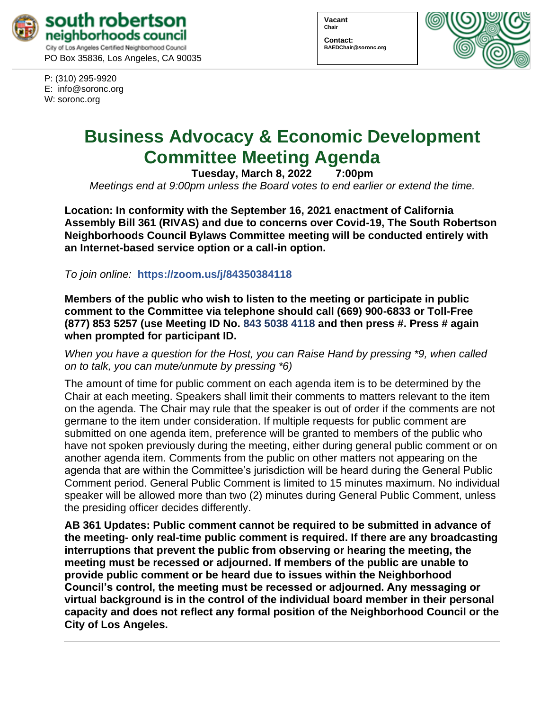

P: (310) 295-9920 E: [info@soronc.org](mailto:info@soronc.org) W: soronc.org

| Vacant<br>Chair |  |
|-----------------|--|
| Contact:        |  |

**BAEDChair@soronc.org**



# **Business Advocacy & Economic Development Committee Meeting Agenda**

**Tuesday, March 8, 2022 7:00pm**

*Meetings end at 9:00pm unless the Board votes to end earlier or extend the time.*

**Location: In conformity with the September 16, 2021 enactment of California Assembly Bill 361 (RIVAS) and due to concerns over Covid-19, The South Robertson Neighborhoods Council Bylaws Committee meeting will be conducted entirely with an Internet-based service option or a call-in option.**

*To join online:* **<https://zoom.us/j/84350384118>**

**Members of the public who wish to listen to the meeting or participate in public comment to the Committee via telephone should call (669) 900-6833 or Toll-Free (877) 853 5257 (use Meeting ID No. 843 5038 4118 and then press #. Press # again when prompted for participant ID.** 

*When you have a question for the Host, you can Raise Hand by pressing \*9, when called on to talk, you can mute/unmute by pressing \*6)* 

The amount of time for public comment on each agenda item is to be determined by the Chair at each meeting. Speakers shall limit their comments to matters relevant to the item on the agenda. The Chair may rule that the speaker is out of order if the comments are not germane to the item under consideration. If multiple requests for public comment are submitted on one agenda item, preference will be granted to members of the public who have not spoken previously during the meeting, either during general public comment or on another agenda item. Comments from the public on other matters not appearing on the agenda that are within the Committee's jurisdiction will be heard during the General Public Comment period. General Public Comment is limited to 15 minutes maximum. No individual speaker will be allowed more than two (2) minutes during General Public Comment, unless the presiding officer decides differently.

**AB 361 Updates: Public comment cannot be required to be submitted in advance of the meeting- only real-time public comment is required. If there are any broadcasting interruptions that prevent the public from observing or hearing the meeting, the meeting must be recessed or adjourned. If members of the public are unable to provide public comment or be heard due to issues within the Neighborhood Council's control, the meeting must be recessed or adjourned. Any messaging or virtual background is in the control of the individual board member in their personal capacity and does not reflect any formal position of the Neighborhood Council or the City of Los Angeles.**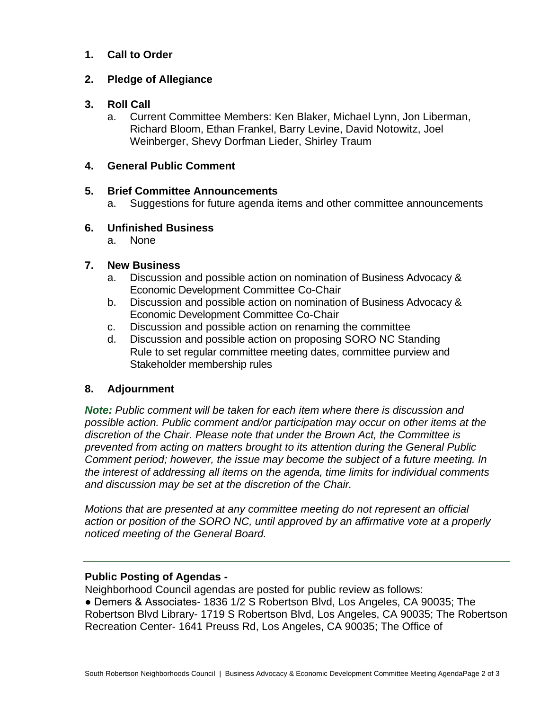# **1. Call to Order**

## **2. Pledge of Allegiance**

#### **3. Roll Call**

a. Current Committee Members: Ken Blaker, Michael Lynn, Jon Liberman, Richard Bloom, Ethan Frankel, Barry Levine, David Notowitz, Joel Weinberger, Shevy Dorfman Lieder, Shirley Traum

#### **4. General Public Comment**

## **5. Brief Committee Announcements**

a. Suggestions for future agenda items and other committee announcements

## **6. Unfinished Business**

a. None

# **7. New Business**

- a. Discussion and possible action on nomination of Business Advocacy & Economic Development Committee Co-Chair
- b. Discussion and possible action on nomination of Business Advocacy & Economic Development Committee Co-Chair
- c. Discussion and possible action on renaming the committee
- d. Discussion and possible action on proposing SORO NC Standing Rule to set regular committee meeting dates, committee purview and Stakeholder membership rules

# **8. Adjournment**

*Note: Public comment will be taken for each item where there is discussion and possible action. Public comment and/or participation may occur on other items at the discretion of the Chair. Please note that under the Brown Act, the Committee is prevented from acting on matters brought to its attention during the General Public Comment period; however, the issue may become the subject of a future meeting. In the interest of addressing all items on the agenda, time limits for individual comments and discussion may be set at the discretion of the Chair.*

*Motions that are presented at any committee meeting do not represent an official action or position of the SORO NC, until approved by an affirmative vote at a properly noticed meeting of the General Board.*

#### **Public Posting of Agendas -**

Neighborhood Council agendas are posted for public review as follows: ● Demers & Associates- 1836 1/2 S Robertson Blvd, Los Angeles, CA 90035; The Robertson Blvd Library- 1719 S Robertson Blvd, Los Angeles, CA 90035; The Robertson Recreation Center- 1641 Preuss Rd, Los Angeles, CA 90035; The Office of